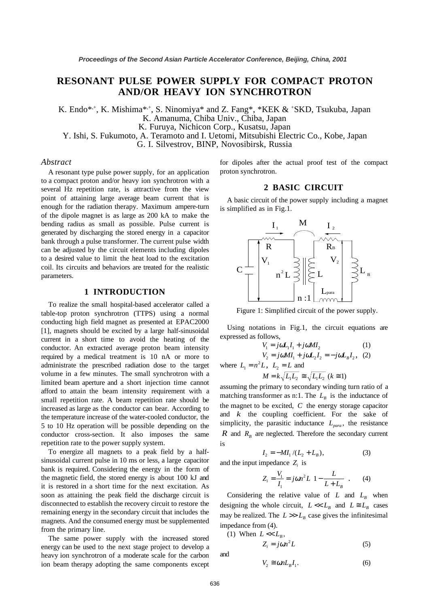# **RESONANT PULSE POWER SUPPLY FOR COMPACT PROTON AND/OR HEAVY ION SYNCHROTRON**

K. Endo<sup>\*,+</sup>, K. Mishima<sup>\*,+</sup>, S. Ninomiya\* and Z. Fang\*, \*KEK & <sup>+</sup>SKD, Tsukuba, Japan K. Amanuma, Chiba Univ., Chiba, Japan K. Furuya, Nichicon Corp., Kusatsu, Japan

Y. Ishi, S. Fukumoto, A. Teramoto and I. Uetomi, Mitsubishi Electric Co., Kobe, Japan

G. I. Silvestrov, BINP, Novosibirsk, Russia

### *Abstract*

A resonant type pulse power supply, for an application to a compact proton and/or heavy ion synchrotron with a several Hz repetition rate, is attractive from the view point of attaining large average beam current that is enough for the radiation therapy. Maximum ampere-turn of the dipole magnet is as large as 200 kA to make the bending radius as small as possible. Pulse current is generated by discharging the stored energy in a capacitor bank through a pulse transformer. The current pulse width can be adjusted by the circuit elements including dipoles to a desired value to limit the heat load to the excitation coil. Its circuits and behaviors are treated for the realistic parameters.

#### **1 INTRODUCTION**

To realize the small hospital-based accelerator called a table-top proton synchrotron (TTPS) using a normal conducting high field magnet as presented at EPAC2000 [1], magnets should be excited by a large half-sinusoidal current in a short time to avoid the heating of the conductor. An extracted average proton beam intensity required by a medical treatment is 10 nA or more to administrate the prescribed radiation dose to the target volume in a few minutes. The small synchrotron with a limited beam aperture and a short injection time cannot afford to attain the beam intensity requirement with a small repetition rate. A beam repetition rate should be increased as large as the conductor can bear. According to the temperature increase of the water-cooled conductor, the 5 to 10 Hz operation will be possible depending on the conductor cross-section. It also imposes the same repetition rate to the power supply system.

To energize all magnets to a peak field by a halfsinusoidal current pulse in 10 ms or less, a large capacitor bank is required. Considering the energy in the form of the magnetic field, the stored energy is about 100 kJ and it is restored in a short time for the next excitation. As soon as attaining the peak field the discharge circuit is disconnected to establish the recovery circuit to restore the remaining energy in the secondary circuit that includes the magnets. And the consumed energy must be supplemented from the primary line.

The same power supply with the increased stored energy can be used to the next stage project to develop a heavy ion synchrotron of a moderate scale for the carbon ion beam therapy adopting the same components except

for dipoles after the actual proof test of the compact proton synchrotron.

## **2 BASIC CIRCUIT**

A basic circuit of the power supply including a magnet is simplified as in Fig.1.



Figure 1: Simplified circuit of the power supply.

Using notations in Fig.1, the circuit equations are expressed as follows,

$$
V_1 = j\omega L_1 I_1 + j\omega M I_2 \tag{1}
$$

$$
V_2 = j\omega M I_1 + j\omega L_2 I_2 = -j\omega L_B I_2, (2)
$$
  
where  $L_1 = n^2 L$ ,  $L_2 = L$  and

$$
M = k\sqrt{L_1L_2} \cong \sqrt{L_1L_2} \ (k \cong 1)
$$

assuming the primary to secondary winding turn ratio of a matching transformer as n:1. The  $L<sub>B</sub>$  is the inductance of the magnet to be excited, *C* the energy storage capacitor and *k* the coupling coefficient. For the sake of simplicity, the parasitic inductance  $L_{para}$ , the resistance *R* and  $R_B$  are neglected. Therefore the secondary current is

$$
I_2 = -MI_1 / (L_2 + L_B),
$$
\nand the input impedance  $Z_i$  is

\n(3)

$$
Z_i = \frac{V_1}{I_1} = j\omega n^2 L \left( 1 - \frac{L}{L + L_B} \right). \tag{4}
$$

Considering the relative value of  $L$  and  $L<sub>B</sub>$  when designing the whole circuit,  $L \ll L_B$  and  $L \cong L_B$  cases may be realized. The  $L \gg L_B$  case gives the infinitesimal impedance from (4).

(1) When  $L \ll L_B$ ,

$$
Z_i = j\omega n^2 L \tag{5}
$$

and

$$
V_2 \cong \omega n L_B I_1. \tag{6}
$$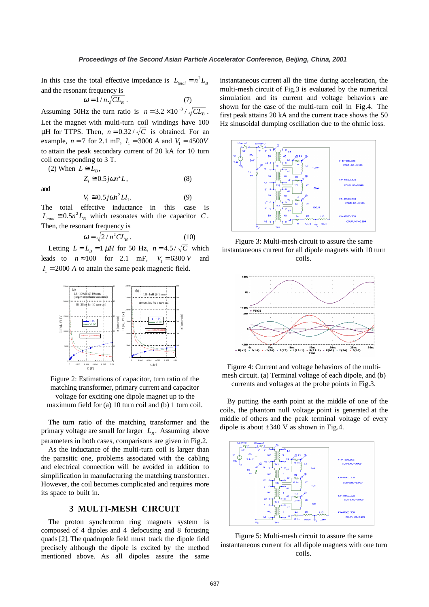In this case the total effective impedance is  $L_{total} = n^2 L_B$ and the resonant frequency is

$$
\omega = 1 / n \sqrt{CL_B} \ . \tag{7}
$$

Assuming 50Hz the turn ratio is  $n = 3.2 \times 10^{-3} / \sqrt{CL_B}$ . Let the magnet with multi-turn coil windings have 100 µH for TTPS. Then,  $n = 0.32 / \sqrt{C}$  is obtained. For an example,  $n = 7$  for 2.1 mF,  $I_1 = 3000$  A and  $V_1 = 4500$ V to attain the peak secondary current of 20 kA for 10 turn coil corresponding to 3 T.

(2) When  $L \cong L_B$ ,

$$
Z_i \cong 0.5j\omega n^2 L,\tag{8}
$$

and

$$
V_1 \cong 0.5j\omega n^2 L I_1. \tag{9}
$$

The total effective inductance in this case is  $L_{total} \approx 0.5 n^2 L_B$  which resonates with the capacitor *C*. Then, the resonant frequency is

$$
\omega = \sqrt{2/n^2 C L_B} \,. \tag{10}
$$

Letting  $L = L_B = 1 \mu H$  for 50 Hz,  $n = 4.5 / \sqrt{C}$  which leads to  $n \approx 100$  for 2.1 mF,  $V_1 = 6300 \text{ V}$  and  $I_1 = 2000$  A to attain the same peak magnetic field.



Figure 2: Estimations of capacitor, turn ratio of the matching transformer, primary current and capacitor voltage for exciting one dipole magnet up to the maximum field for (a) 10 turn coil and (b) 1 turn coil.

The turn ratio of the matching transformer and the primary voltage are small for larger  $L_B$ . Assuming above parameters in both cases, comparisons are given in Fig.2.

As the inductance of the multi-turn coil is larger than the parasitic one, problems associated with the cabling and electrical connection will be avoided in addition to simplification in manufacturing the matching transformer. However, the coil becomes complicated and requires more its space to built in.

#### **3 MULTI-MESH CIRCUIT**

The proton synchrotron ring magnets system is composed of 4 dipoles and 4 defocusing and 8 focusing quads [2]. The quadrupole field must track the dipole field precisely although the dipole is excited by the method mentioned above. As all dipoles assure the same instantaneous current all the time during acceleration, the multi-mesh circuit of Fig.3 is evaluated by the numerical simulation and its current and voltage behaviors are shown for the case of the multi-turn coil in Fig.4. The first peak attains 20 kA and the current trace shows the 50 Hz sinusoidal dumping oscillation due to the ohmic loss.



Figure 3: Multi-mesh circuit to assure the same instantaneous current for all dipole magnets with 10 turn coils.



Figure 4: Current and voltage behaviors of the multimesh circuit. (a) Terminal voltage of each dipole, and (b) currents and voltages at the probe points in Fig.3.

By putting the earth point at the middle of one of the coils, the phantom null voltage point is generated at the middle of others and the peak terminal voltage of every dipole is about  $\pm 340$  V as shown in Fig.4.



Figure 5: Multi-mesh circuit to assure the same instantaneous current for all dipole magnets with one turn coils.